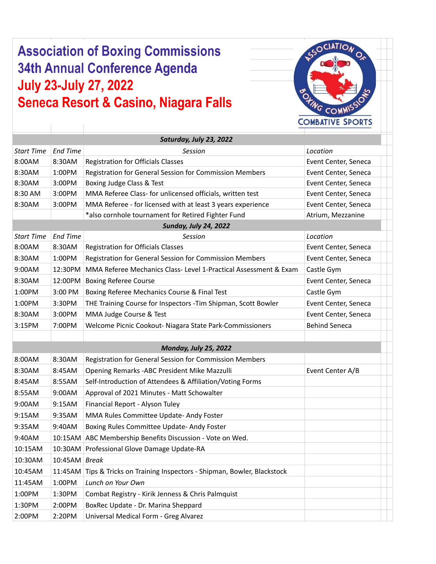## **Association of Boxing Commissions** 34th Annual Conference Agenda **July 23-July 27, 2022 Seneca Resort & Casino, Niagara Falls**

 $\overline{\phantom{a}}$ 

 $\sim$  100  $\pm$ 



|                   |                                                                          | Saturday, July 23, 2022                                            |                      |
|-------------------|--------------------------------------------------------------------------|--------------------------------------------------------------------|----------------------|
| <b>Start Time</b> | <b>End Time</b>                                                          | Session                                                            | Location             |
| 8:00AM            | 8:30AM                                                                   | <b>Registration for Officials Classes</b>                          | Event Center, Seneca |
| 8:30AM            | 1:00PM                                                                   | Registration for General Session for Commission Members            | Event Center, Seneca |
| 8:30AM            | 3:00PM                                                                   | Boxing Judge Class & Test                                          | Event Center, Seneca |
| 8:30 AM           | 3:00PM                                                                   | MMA Referee Class- for unlicensed officials, written test          | Event Center, Seneca |
| 8:30AM            | 3:00PM                                                                   | MMA Referee - for licensed with at least 3 years experience        | Event Center, Seneca |
|                   |                                                                          | *also cornhole tournament for Retired Fighter Fund                 | Atrium, Mezzanine    |
|                   |                                                                          | <b>Sunday, July 24, 2022</b>                                       |                      |
| <b>Start Time</b> | <b>End Time</b>                                                          | Session                                                            | Location             |
| 8:00AM            | 8:30AM                                                                   | <b>Registration for Officials Classes</b>                          | Event Center, Seneca |
| 8:30AM            | 1:00PM                                                                   | Registration for General Session for Commission Members            | Event Center, Seneca |
| 9:00AM            | 12:30PM                                                                  | MMA Referee Mechanics Class- Level 1-Practical Assessment & Exam   | Castle Gym           |
| 8:30AM            | 12:00PM                                                                  | <b>Boxing Referee Course</b>                                       | Event Center, Seneca |
| 1:00PM            | 3:00 PM<br>Boxing Referee Mechanics Course & Final Test                  |                                                                    | Castle Gym           |
| 1:00PM            | 3:30PM<br>THE Training Course for Inspectors - Tim Shipman, Scott Bowler |                                                                    | Event Center, Seneca |
| 8:30AM            | MMA Judge Course & Test<br>3:00PM                                        |                                                                    | Event Center, Seneca |
| 3:15PM            | 7:00PM<br>Welcome Picnic Cookout- Niagara State Park-Commissioners       |                                                                    | <b>Behind Seneca</b> |
|                   |                                                                          |                                                                    |                      |
|                   |                                                                          | <b>Monday, July 25, 2022</b>                                       |                      |
| 8:00AM            | 8:30AM                                                                   | Registration for General Session for Commission Members            |                      |
| 8:30AM            | 8:45AM                                                                   | Opening Remarks - ABC President Mike Mazzulli                      | Event Center A/B     |
| 8:45AM            | 8:55AM                                                                   | Self-Introduction of Attendees & Affiliation/Voting Forms          |                      |
| 8:55AM            | 9:00AM                                                                   | Approval of 2021 Minutes - Matt Schowalter                         |                      |
| 9:00AM            | 9:15AM                                                                   | Financial Report - Alyson Tuley                                    |                      |
| 9:15AM            | 9:35AM                                                                   | MMA Rules Committee Update- Andy Foster                            |                      |
| 9:35AM            | 9:40AM                                                                   | Boxing Rules Committee Update- Andy Foster                         |                      |
| 9:40AM            | 10:15AM                                                                  | ABC Membership Benefits Discussion - Vote on Wed.                  |                      |
| 10:15AM           |                                                                          | 10:30AM Professional Glove Damage Update-RA                        |                      |
| 10:30AM           | $10:45AM$ Break                                                          |                                                                    |                      |
| 10:45AM           | 11:45AM                                                                  | Tips & Tricks on Training Inspectors - Shipman, Bowler, Blackstock |                      |
| 11:45AM           | 1:00PM                                                                   | Lunch on Your Own                                                  |                      |
| 1:00PM            | 1:30PM                                                                   | Combat Registry - Kirik Jenness & Chris Palmquist                  |                      |
| 1:30PM            | 2:00PM                                                                   | BoxRec Update - Dr. Marina Sheppard                                |                      |
| 2:00PM            | 2:20PM                                                                   | Universal Medical Form - Greg Alvarez                              |                      |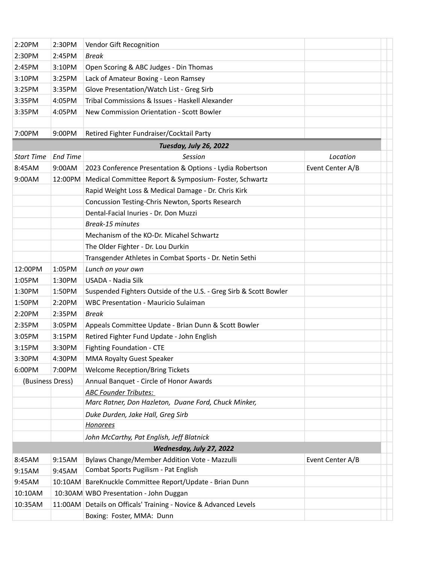| 2:20PM            | 2:30PM                                                  | Vendor Gift Recognition                                                               |                  |  |
|-------------------|---------------------------------------------------------|---------------------------------------------------------------------------------------|------------------|--|
| 2:30PM            | 2:45PM                                                  | <b>Break</b>                                                                          |                  |  |
| 2:45PM            | 3:10PM                                                  | Open Scoring & ABC Judges - Din Thomas                                                |                  |  |
| 3:10PM            | 3:25PM                                                  | Lack of Amateur Boxing - Leon Ramsey                                                  |                  |  |
| 3:25PM            | 3:35PM                                                  | Glove Presentation/Watch List - Greg Sirb                                             |                  |  |
| 3:35PM            | 4:05PM                                                  | Tribal Commissions & Issues - Haskell Alexander                                       |                  |  |
| 3:35PM            | 4:05PM                                                  | New Commission Orientation - Scott Bowler                                             |                  |  |
|                   |                                                         |                                                                                       |                  |  |
| 7:00PM            | 9:00PM                                                  | Retired Fighter Fundraiser/Cocktail Party                                             |                  |  |
|                   |                                                         | Tuesday, July 26, 2022                                                                |                  |  |
| <b>Start Time</b> | <b>End Time</b>                                         | Session                                                                               | Location         |  |
| 8:45AM            | 9:00AM                                                  | 2023 Conference Presentation & Options - Lydia Robertson                              | Event Center A/B |  |
| 9:00AM            | 12:00PM                                                 | Medical Committee Report & Symposium- Foster, Schwartz                                |                  |  |
|                   |                                                         | Rapid Weight Loss & Medical Damage - Dr. Chris Kirk                                   |                  |  |
|                   |                                                         | Concussion Testing-Chris Newton, Sports Research                                      |                  |  |
|                   |                                                         | Dental-Facial Inuries - Dr. Don Muzzi                                                 |                  |  |
|                   |                                                         | Break-15 minutes                                                                      |                  |  |
|                   |                                                         | Mechanism of the KO-Dr. Micahel Schwartz                                              |                  |  |
|                   |                                                         | The Older Fighter - Dr. Lou Durkin                                                    |                  |  |
|                   | Transgender Athletes in Combat Sports - Dr. Netin Sethi |                                                                                       |                  |  |
| 12:00PM           | 1:05PM                                                  | Lunch on your own                                                                     |                  |  |
| 1:05PM            | 1:30PM                                                  | USADA - Nadia Silk                                                                    |                  |  |
| 1:30PM            | 1:50PM                                                  | Suspended Fighters Outside of the U.S. - Greg Sirb & Scott Bowler                     |                  |  |
| 1:50PM            | 2:20PM                                                  | <b>WBC Presentation - Mauricio Sulaiman</b>                                           |                  |  |
| 2:20PM            | 2:35PM                                                  | <b>Break</b>                                                                          |                  |  |
| 2:35PM            | 3:05PM                                                  | Appeals Committee Update - Brian Dunn & Scott Bowler                                  |                  |  |
| 3:05PM            | 3:15PM                                                  | Retired Fighter Fund Update - John English                                            |                  |  |
| 3:15PM            | 3:30PM                                                  | Fighting Foundation - CTE                                                             |                  |  |
| 3:30PM            | 4:30PM                                                  | MMA Royalty Guest Speaker                                                             |                  |  |
| 6:00PM            | 7:00PM                                                  | <b>Welcome Reception/Bring Tickets</b>                                                |                  |  |
| (Business Dress)  |                                                         | Annual Banquet - Circle of Honor Awards                                               |                  |  |
|                   |                                                         | <b>ABC Founder Tributes:</b>                                                          |                  |  |
|                   |                                                         | Marc Ratner, Don Hazleton, Duane Ford, Chuck Minker,                                  |                  |  |
|                   |                                                         | Duke Durden, Jake Hall, Greg Sirb                                                     |                  |  |
|                   |                                                         | <b>Honorees</b>                                                                       |                  |  |
|                   |                                                         | John McCarthy, Pat English, Jeff Blatnick                                             |                  |  |
|                   |                                                         | Wednesday, July 27, 2022                                                              |                  |  |
| 8:45AM            | 9:15AM                                                  | Bylaws Change/Member Addition Vote - Mazzulli<br>Combat Sports Pugilism - Pat English | Event Center A/B |  |
| 9:15AM            | 9:45AM                                                  |                                                                                       |                  |  |
| 9:45AM            |                                                         | 10:10AM BareKnuckle Committee Report/Update - Brian Dunn                              |                  |  |
| 10:10AM           |                                                         | 10:30AM WBO Presentation - John Duggan                                                |                  |  |
| 10:35AM           |                                                         | 11:00AM Details on Officals' Training - Novice & Advanced Levels                      |                  |  |
|                   |                                                         | Boxing: Foster, MMA: Dunn                                                             |                  |  |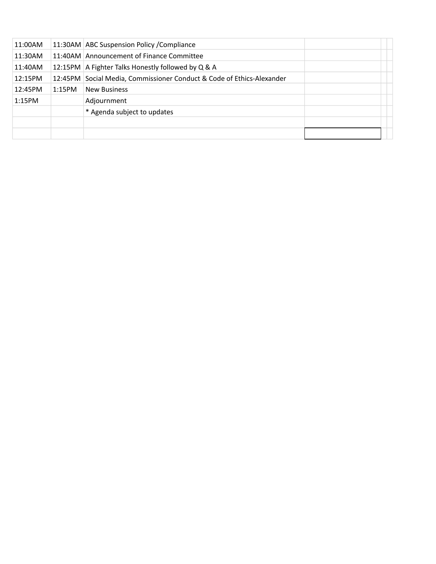| 11:00AM |        | 11:30AM ABC Suspension Policy / Compliance                            |  |
|---------|--------|-----------------------------------------------------------------------|--|
| 11:30AM |        | 11:40AM Announcement of Finance Committee                             |  |
| 11:40AM |        | 12:15PM   A Fighter Talks Honestly followed by Q & A                  |  |
| 12:15PM |        | 12:45PM Social Media, Commissioner Conduct & Code of Ethics-Alexander |  |
| 12:45PM | 1:15PM | <b>New Business</b>                                                   |  |
| 1:15PM  |        | Adjournment                                                           |  |
|         |        | * Agenda subject to updates                                           |  |
|         |        |                                                                       |  |
|         |        |                                                                       |  |